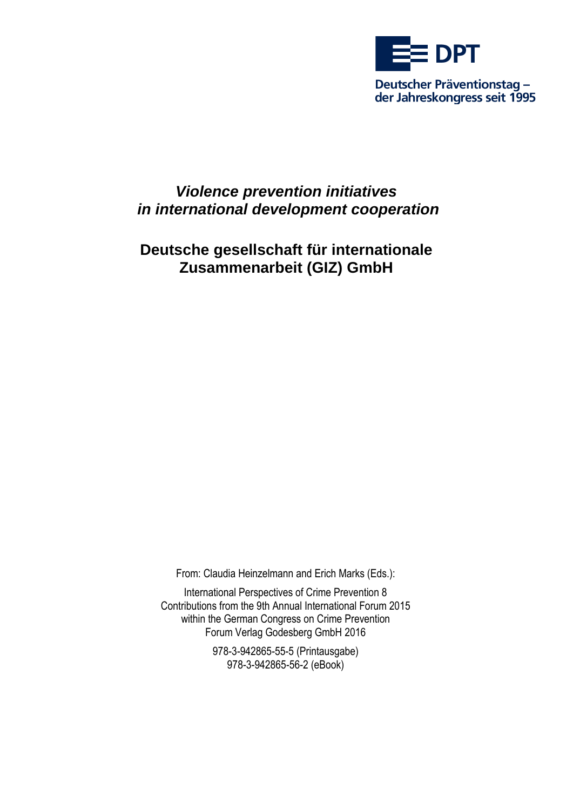

# *Violence prevention initiatives in international development cooperation*

# **Deutsche gesellschaft für internationale Zusammenarbeit (GIZ) GmbH**

[From: Claudia Heinzelmann and Erich Marks \(Eds.\):](http://www.praeventionstag.de/go/buch/?id=19)

[International Perspectives of Crime Prevention 8](http://www.praeventionstag.de/go/buch/?id=19) Contributions from the 9th [Annual International Forum 2015](http://www.praeventionstag.de/go/buch/?id=19) [within the German Congress on Crime Prevention](http://www.praeventionstag.de/go/buch/?id=19) [Forum Verlag Godesberg GmbH 2016](http://www.praeventionstag.de/go/buch/?id=19)

> [978-3-942865-55-5](http://www.praeventionstag.de/go/buch/?id=19) (Printausgabe) [978-3-942865-56-2](http://www.praeventionstag.de/go/buch/?id=19) (eBook)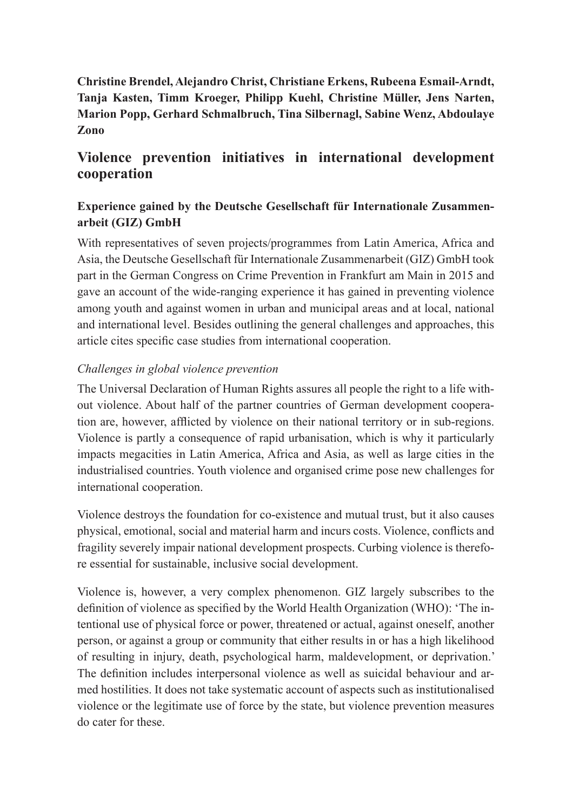# **Christine Brendel, Alejandro Christ, Christiane Erkens, Rubeena Esmail-Arndt, Tanja Kasten, Timm Kroeger, Philipp Kuehl, Christine Müller, Jens Narten, Marion Popp, Gerhard Schmalbruch, Tina Silbernagl, Sabine Wenz, Abdoulaye Zono**

# **Violence prevention initiatives in international development cooperation**

# **Experience gained by the Deutsche Gesellschaft für Internationale Zusammenarbeit (GIZ) GmbH**

With representatives of seven projects/programmes from Latin America, Africa and Asia, the Deutsche Gesellschaft für Internationale Zusammenarbeit (GIZ) GmbH took part in the German Congress on Crime Prevention in Frankfurt am Main in 2015 and gave an account of the wide-ranging experience it has gained in preventing violence among youth and against women in urban and municipal areas and at local, national and international level. Besides outlining the general challenges and approaches, this article cites specific case studies from international cooperation.

## *Challenges in global violence prevention*

The Universal Declaration of Human Rights assures all people the right to a life without violence. About half of the partner countries of German development cooperation are, however, afflicted by violence on their national territory or in sub-regions. Violence is partly a consequence of rapid urbanisation, which is why it particularly impacts megacities in Latin America, Africa and Asia, as well as large cities in the industrialised countries. Youth violence and organised crime pose new challenges for international cooperation.

Violence destroys the foundation for co-existence and mutual trust, but it also causes physical, emotional, social and material harm and incurs costs. Violence, conflicts and fragility severely impair national development prospects. Curbing violence is therefore essential for sustainable, inclusive social development.

Violence is, however, a very complex phenomenon. GIZ largely subscribes to the definition of violence as specified by the World Health Organization (WHO): 'The intentional use of physical force or power, threatened or actual, against oneself, another person, or against a group or community that either results in or has a high likelihood of resulting in injury, death, psychological harm, maldevelopment, or deprivation.' The definition includes interpersonal violence as well as suicidal behaviour and armed hostilities. It does not take systematic account of aspects such as institutionalised violence or the legitimate use of force by the state, but violence prevention measures do cater for these.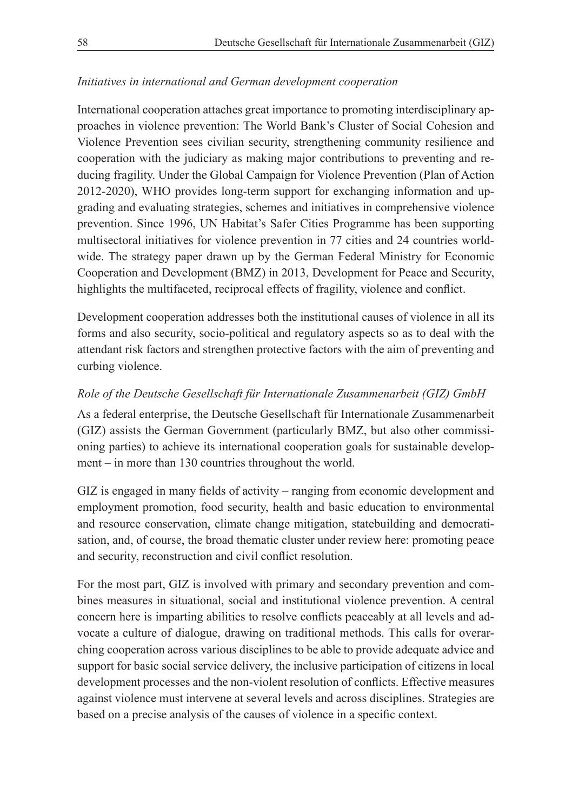#### *Initiatives in international and German development cooperation*

International cooperation attaches great importance to promoting interdisciplinary approaches in violence prevention: The World Bank's Cluster of Social Cohesion and Violence Prevention sees civilian security, strengthening community resilience and cooperation with the judiciary as making major contributions to preventing and reducing fragility. Under the Global Campaign for Violence Prevention (Plan of Action 2012-2020), WHO provides long-term support for exchanging information and upgrading and evaluating strategies, schemes and initiatives in comprehensive violence prevention. Since 1996, UN Habitat's Safer Cities Programme has been supporting multisectoral initiatives for violence prevention in 77 cities and 24 countries worldwide. The strategy paper drawn up by the German Federal Ministry for Economic Cooperation and Development (BMZ) in 2013, Development for Peace and Security, highlights the multifaceted, reciprocal effects of fragility, violence and conflict.

Development cooperation addresses both the institutional causes of violence in all its forms and also security, socio-political and regulatory aspects so as to deal with the attendant risk factors and strengthen protective factors with the aim of preventing and curbing violence.

## *Role of the Deutsche Gesellschaft für Internationale Zusammenarbeit (GIZ) GmbH*

As a federal enterprise, the Deutsche Gesellschaft für Internationale Zusammenarbeit (GIZ) assists the German Government (particularly BMZ, but also other commissioning parties) to achieve its international cooperation goals for sustainable development – in more than 130 countries throughout the world.

GIZ is engaged in many fields of activity – ranging from economic development and employment promotion, food security, health and basic education to environmental and resource conservation, climate change mitigation, statebuilding and democratisation, and, of course, the broad thematic cluster under review here: promoting peace and security, reconstruction and civil conflict resolution.

For the most part, GIZ is involved with primary and secondary prevention and combines measures in situational, social and institutional violence prevention. A central concern here is imparting abilities to resolve conflicts peaceably at all levels and advocate a culture of dialogue, drawing on traditional methods. This calls for overarching cooperation across various disciplines to be able to provide adequate advice and support for basic social service delivery, the inclusive participation of citizens in local development processes and the non-violent resolution of conflicts. Effective measures against violence must intervene at several levels and across disciplines. Strategies are based on a precise analysis of the causes of violence in a specific context.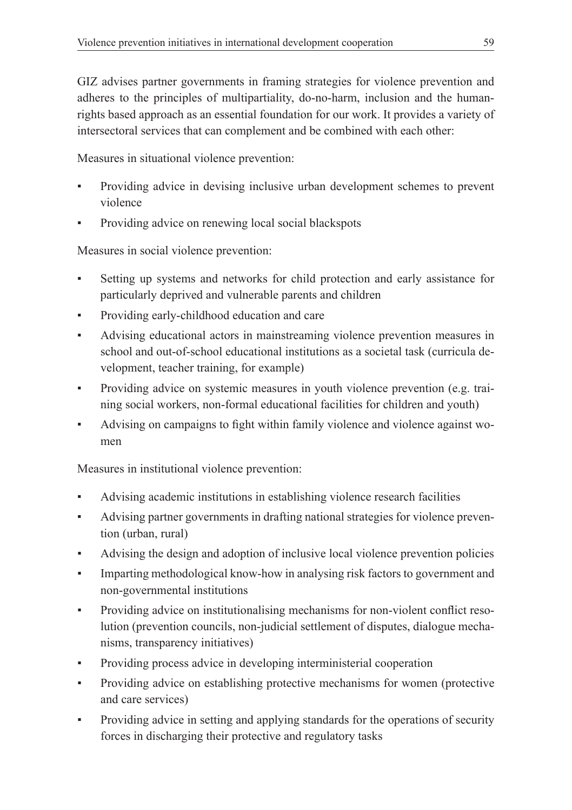GIZ advises partner governments in framing strategies for violence prevention and adheres to the principles of multipartiality, do-no-harm, inclusion and the humanrights based approach as an essential foundation for our work. It provides a variety of intersectoral services that can complement and be combined with each other:

Measures in situational violence prevention:

- Providing advice in devising inclusive urban development schemes to prevent violence
- Providing advice on renewing local social blackspots

Measures in social violence prevention:

- Setting up systems and networks for child protection and early assistance for particularly deprived and vulnerable parents and children
- Providing early-childhood education and care
- Advising educational actors in mainstreaming violence prevention measures in school and out-of-school educational institutions as a societal task (curricula development, teacher training, for example)
- Providing advice on systemic measures in youth violence prevention (e.g. training social workers, non-formal educational facilities for children and youth)
- Advising on campaigns to fight within family violence and violence against women

Measures in institutional violence prevention:

- Advising academic institutions in establishing violence research facilities
- Advising partner governments in drafting national strategies for violence prevention (urban, rural)
- Advising the design and adoption of inclusive local violence prevention policies
- Imparting methodological know-how in analysing risk factors to government and non-governmental institutions
- Providing advice on institutionalising mechanisms for non-violent conflict resolution (prevention councils, non-judicial settlement of disputes, dialogue mechanisms, transparency initiatives)
- Providing process advice in developing interministerial cooperation
- Providing advice on establishing protective mechanisms for women (protective and care services)
- Providing advice in setting and applying standards for the operations of security forces in discharging their protective and regulatory tasks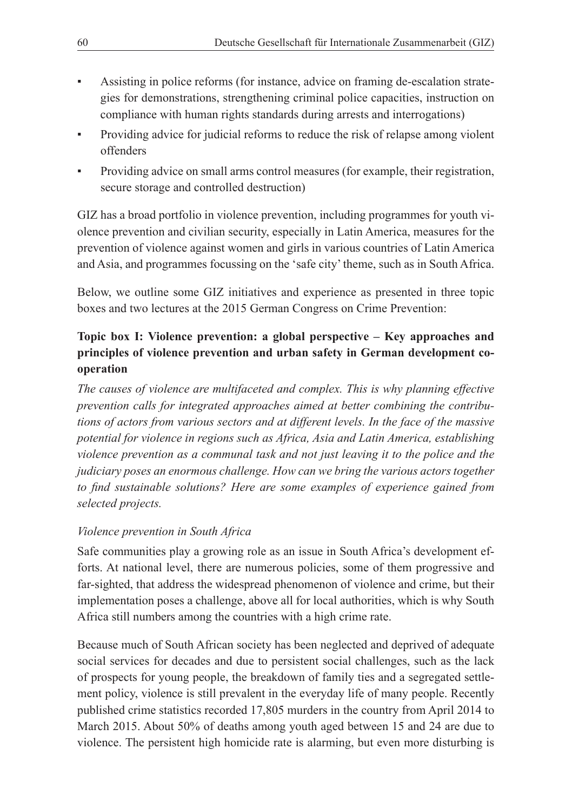- Assisting in police reforms (for instance, advice on framing de-escalation strategies for demonstrations, strengthening criminal police capacities, instruction on compliance with human rights standards during arrests and interrogations)
- Providing advice for judicial reforms to reduce the risk of relapse among violent offenders
- Providing advice on small arms control measures (for example, their registration, secure storage and controlled destruction)

GIZ has a broad portfolio in violence prevention, including programmes for youth violence prevention and civilian security, especially in Latin America, measures for the prevention of violence against women and girls in various countries of Latin America and Asia, and programmes focussing on the 'safe city' theme, such as in South Africa.

Below, we outline some GIZ initiatives and experience as presented in three topic boxes and two lectures at the 2015 German Congress on Crime Prevention:

# **Topic box I: Violence prevention: a global perspective – Key approaches and principles of violence prevention and urban safety in German development cooperation**

*The causes of violence are multifaceted and complex. This is why planning effective prevention calls for integrated approaches aimed at better combining the contributions of actors from various sectors and at different levels. In the face of the massive potential for violence in regions such as Africa, Asia and Latin America, establishing violence prevention as a communal task and not just leaving it to the police and the judiciary poses an enormous challenge. How can we bring the various actors together to find sustainable solutions? Here are some examples of experience gained from selected projects.* 

## *Violence prevention in South Africa*

Safe communities play a growing role as an issue in South Africa's development efforts. At national level, there are numerous policies, some of them progressive and far-sighted, that address the widespread phenomenon of violence and crime, but their implementation poses a challenge, above all for local authorities, which is why South Africa still numbers among the countries with a high crime rate.

Because much of South African society has been neglected and deprived of adequate social services for decades and due to persistent social challenges, such as the lack of prospects for young people, the breakdown of family ties and a segregated settlement policy, violence is still prevalent in the everyday life of many people. Recently published crime statistics recorded 17,805 murders in the country from April 2014 to March 2015. About 50% of deaths among youth aged between 15 and 24 are due to violence. The persistent high homicide rate is alarming, but even more disturbing is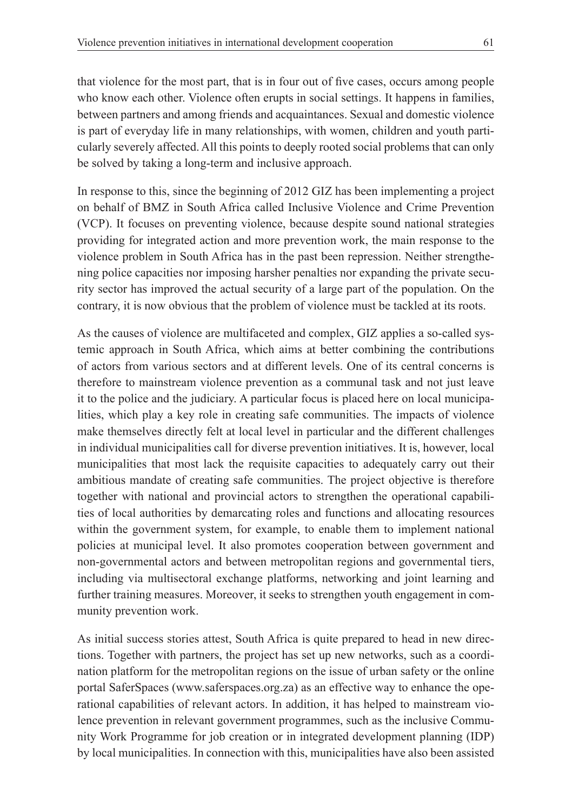that violence for the most part, that is in four out of five cases, occurs among people who know each other. Violence often erupts in social settings. It happens in families, between partners and among friends and acquaintances. Sexual and domestic violence is part of everyday life in many relationships, with women, children and youth particularly severely affected. All this points to deeply rooted social problems that can only be solved by taking a long-term and inclusive approach.

In response to this, since the beginning of 2012 GIZ has been implementing a project on behalf of BMZ in South Africa called Inclusive Violence and Crime Prevention (VCP). It focuses on preventing violence, because despite sound national strategies providing for integrated action and more prevention work, the main response to the violence problem in South Africa has in the past been repression. Neither strengthening police capacities nor imposing harsher penalties nor expanding the private security sector has improved the actual security of a large part of the population. On the contrary, it is now obvious that the problem of violence must be tackled at its roots.

As the causes of violence are multifaceted and complex, GIZ applies a so-called systemic approach in South Africa, which aims at better combining the contributions of actors from various sectors and at different levels. One of its central concerns is therefore to mainstream violence prevention as a communal task and not just leave it to the police and the judiciary. A particular focus is placed here on local municipalities, which play a key role in creating safe communities. The impacts of violence make themselves directly felt at local level in particular and the different challenges in individual municipalities call for diverse prevention initiatives. It is, however, local municipalities that most lack the requisite capacities to adequately carry out their ambitious mandate of creating safe communities. The project objective is therefore together with national and provincial actors to strengthen the operational capabilities of local authorities by demarcating roles and functions and allocating resources within the government system, for example, to enable them to implement national policies at municipal level. It also promotes cooperation between government and non-governmental actors and between metropolitan regions and governmental tiers, including via multisectoral exchange platforms, networking and joint learning and further training measures. Moreover, it seeks to strengthen youth engagement in community prevention work.

As initial success stories attest, South Africa is quite prepared to head in new directions. Together with partners, the project has set up new networks, such as a coordination platform for the metropolitan regions on the issue of urban safety or the online portal SaferSpaces (www.saferspaces.org.za) as an effective way to enhance the operational capabilities of relevant actors. In addition, it has helped to mainstream violence prevention in relevant government programmes, such as the inclusive Community Work Programme for job creation or in integrated development planning (IDP) by local municipalities. In connection with this, municipalities have also been assisted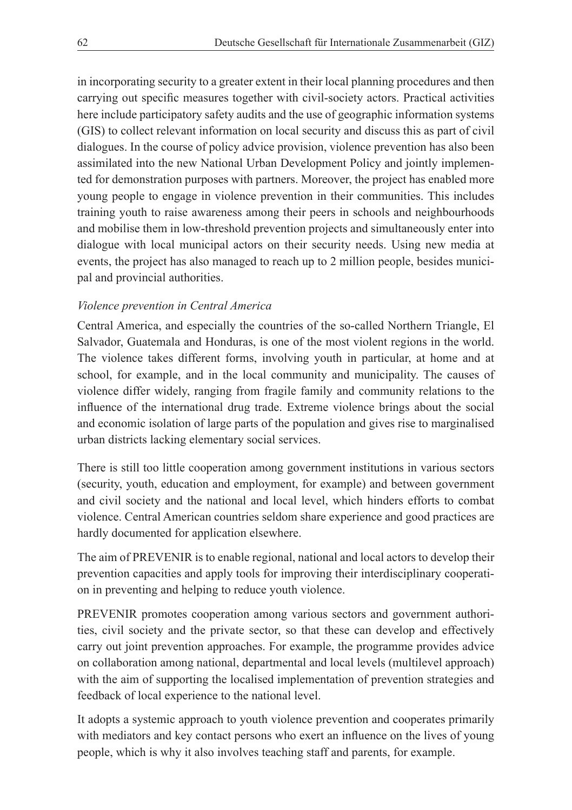in incorporating security to a greater extent in their local planning procedures and then carrying out specific measures together with civil-society actors. Practical activities here include participatory safety audits and the use of geographic information systems (GIS) to collect relevant information on local security and discuss this as part of civil dialogues. In the course of policy advice provision, violence prevention has also been assimilated into the new National Urban Development Policy and jointly implemented for demonstration purposes with partners. Moreover, the project has enabled more young people to engage in violence prevention in their communities. This includes training youth to raise awareness among their peers in schools and neighbourhoods and mobilise them in low-threshold prevention projects and simultaneously enter into dialogue with local municipal actors on their security needs. Using new media at events, the project has also managed to reach up to 2 million people, besides municipal and provincial authorities.

#### *Violence prevention in Central America*

Central America, and especially the countries of the so-called Northern Triangle, El Salvador, Guatemala and Honduras, is one of the most violent regions in the world. The violence takes different forms, involving youth in particular, at home and at school, for example, and in the local community and municipality. The causes of violence differ widely, ranging from fragile family and community relations to the influence of the international drug trade. Extreme violence brings about the social and economic isolation of large parts of the population and gives rise to marginalised urban districts lacking elementary social services.

There is still too little cooperation among government institutions in various sectors (security, youth, education and employment, for example) and between government and civil society and the national and local level, which hinders efforts to combat violence. Central American countries seldom share experience and good practices are hardly documented for application elsewhere.

The aim of PREVENIR is to enable regional, national and local actors to develop their prevention capacities and apply tools for improving their interdisciplinary cooperation in preventing and helping to reduce youth violence.

PREVENIR promotes cooperation among various sectors and government authorities, civil society and the private sector, so that these can develop and effectively carry out joint prevention approaches. For example, the programme provides advice on collaboration among national, departmental and local levels (multilevel approach) with the aim of supporting the localised implementation of prevention strategies and feedback of local experience to the national level.

It adopts a systemic approach to youth violence prevention and cooperates primarily with mediators and key contact persons who exert an influence on the lives of young people, which is why it also involves teaching staff and parents, for example.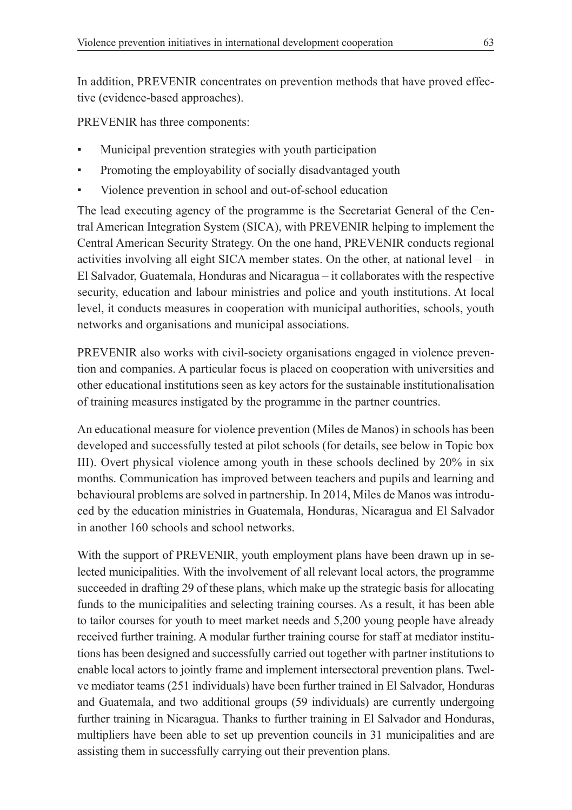In addition, PREVENIR concentrates on prevention methods that have proved effective (evidence-based approaches).

PREVENIR has three components:

- Municipal prevention strategies with youth participation
- Promoting the employability of socially disadvantaged youth
- Violence prevention in school and out-of-school education

The lead executing agency of the programme is the Secretariat General of the Central American Integration System (SICA), with PREVENIR helping to implement the Central American Security Strategy. On the one hand, PREVENIR conducts regional activities involving all eight SICA member states. On the other, at national level – in El Salvador, Guatemala, Honduras and Nicaragua – it collaborates with the respective security, education and labour ministries and police and youth institutions. At local level, it conducts measures in cooperation with municipal authorities, schools, youth networks and organisations and municipal associations.

PREVENIR also works with civil-society organisations engaged in violence prevention and companies. A particular focus is placed on cooperation with universities and other educational institutions seen as key actors for the sustainable institutionalisation of training measures instigated by the programme in the partner countries.

An educational measure for violence prevention (Miles de Manos) in schools has been developed and successfully tested at pilot schools (for details, see below in Topic box III). Overt physical violence among youth in these schools declined by 20% in six months. Communication has improved between teachers and pupils and learning and behavioural problems are solved in partnership. In 2014, Miles de Manos was introduced by the education ministries in Guatemala, Honduras, Nicaragua and El Salvador in another 160 schools and school networks.

With the support of PREVENIR, youth employment plans have been drawn up in selected municipalities. With the involvement of all relevant local actors, the programme succeeded in drafting 29 of these plans, which make up the strategic basis for allocating funds to the municipalities and selecting training courses. As a result, it has been able to tailor courses for youth to meet market needs and 5,200 young people have already received further training. A modular further training course for staff at mediator institutions has been designed and successfully carried out together with partner institutions to enable local actors to jointly frame and implement intersectoral prevention plans. Twelve mediator teams (251 individuals) have been further trained in El Salvador, Honduras and Guatemala, and two additional groups (59 individuals) are currently undergoing further training in Nicaragua. Thanks to further training in El Salvador and Honduras, multipliers have been able to set up prevention councils in 31 municipalities and are assisting them in successfully carrying out their prevention plans.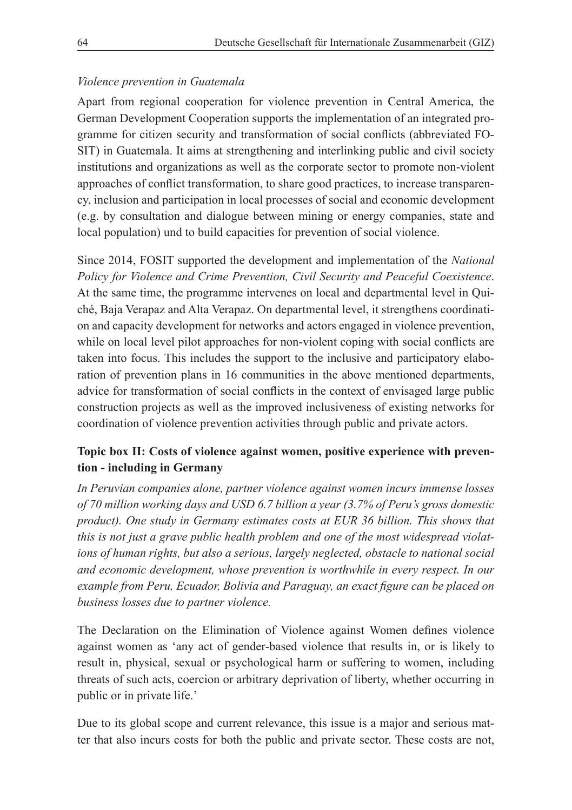#### *Violence prevention in Guatemala*

Apart from regional cooperation for violence prevention in Central America, the German Development Cooperation supports the implementation of an integrated programme for citizen security and transformation of social conflicts (abbreviated FO-SIT) in Guatemala. It aims at strengthening and interlinking public and civil society institutions and organizations as well as the corporate sector to promote non-violent approaches of conflict transformation, to share good practices, to increase transparency, inclusion and participation in local processes of social and economic development (e.g. by consultation and dialogue between mining or energy companies, state and local population) und to build capacities for prevention of social violence.

Since 2014, FOSIT supported the development and implementation of the *National Policy for Violence and Crime Prevention, Civil Security and Peaceful Coexistence*. At the same time, the programme intervenes on local and departmental level in Quiché, Baja Verapaz and Alta Verapaz. On departmental level, it strengthens coordination and capacity development for networks and actors engaged in violence prevention, while on local level pilot approaches for non-violent coping with social conflicts are taken into focus. This includes the support to the inclusive and participatory elaboration of prevention plans in 16 communities in the above mentioned departments, advice for transformation of social conflicts in the context of envisaged large public construction projects as well as the improved inclusiveness of existing networks for coordination of violence prevention activities through public and private actors.

# **Topic box II: Costs of violence against women, positive experience with prevention - including in Germany**

*In Peruvian companies alone, partner violence against women incurs immense losses of 70 million working days and USD 6.7 billion a year (3.7% of Peru's gross domestic product). One study in Germany estimates costs at EUR 36 billion. This shows that this is not just a grave public health problem and one of the most widespread violations of human rights, but also a serious, largely neglected, obstacle to national social and economic development, whose prevention is worthwhile in every respect. In our example from Peru, Ecuador, Bolivia and Paraguay, an exact figure can be placed on business losses due to partner violence.* 

The Declaration on the Elimination of Violence against Women defines violence against women as 'any act of gender-based violence that results in, or is likely to result in, physical, sexual or psychological harm or suffering to women, including threats of such acts, coercion or arbitrary deprivation of liberty, whether occurring in public or in private life.'

Due to its global scope and current relevance, this issue is a major and serious matter that also incurs costs for both the public and private sector. These costs are not,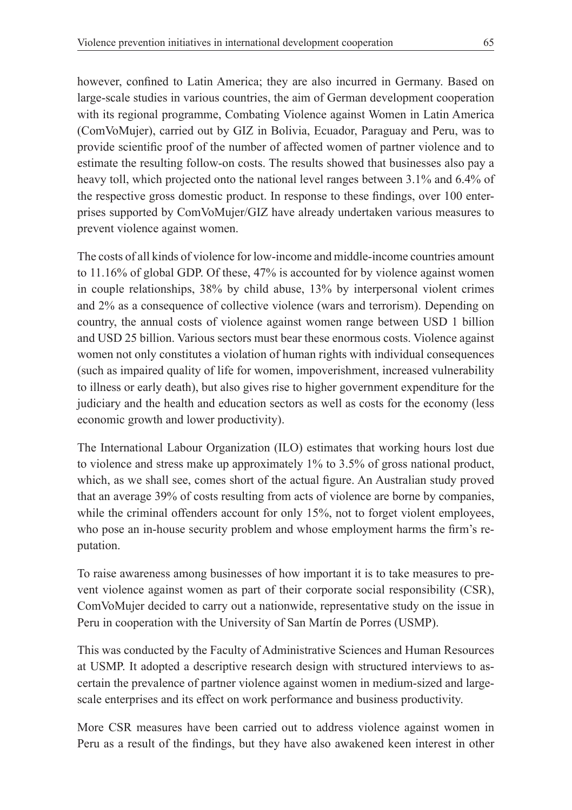however, confined to Latin America; they are also incurred in Germany. Based on large-scale studies in various countries, the aim of German development cooperation with its regional programme, Combating Violence against Women in Latin America (ComVoMujer), carried out by GIZ in Bolivia, Ecuador, Paraguay and Peru, was to provide scientific proof of the number of affected women of partner violence and to estimate the resulting follow-on costs. The results showed that businesses also pay a heavy toll, which projected onto the national level ranges between 3.1% and 6.4% of the respective gross domestic product. In response to these findings, over 100 enterprises supported by ComVoMujer/GIZ have already undertaken various measures to prevent violence against women.

The costs of all kinds of violence for low-income and middle-income countries amount to 11.16% of global GDP. Of these, 47% is accounted for by violence against women in couple relationships, 38% by child abuse, 13% by interpersonal violent crimes and 2% as a consequence of collective violence (wars and terrorism). Depending on country, the annual costs of violence against women range between USD 1 billion and USD 25 billion. Various sectors must bear these enormous costs. Violence against women not only constitutes a violation of human rights with individual consequences (such as impaired quality of life for women, impoverishment, increased vulnerability to illness or early death), but also gives rise to higher government expenditure for the judiciary and the health and education sectors as well as costs for the economy (less economic growth and lower productivity).

The International Labour Organization (ILO) estimates that working hours lost due to violence and stress make up approximately 1% to 3.5% of gross national product, which, as we shall see, comes short of the actual figure. An Australian study proved that an average 39% of costs resulting from acts of violence are borne by companies, while the criminal offenders account for only 15%, not to forget violent employees, who pose an in-house security problem and whose employment harms the firm's reputation.

To raise awareness among businesses of how important it is to take measures to prevent violence against women as part of their corporate social responsibility (CSR), ComVoMujer decided to carry out a nationwide, representative study on the issue in Peru in cooperation with the University of San Martín de Porres (USMP).

This was conducted by the Faculty of Administrative Sciences and Human Resources at USMP. It adopted a descriptive research design with structured interviews to ascertain the prevalence of partner violence against women in medium-sized and largescale enterprises and its effect on work performance and business productivity.

More CSR measures have been carried out to address violence against women in Peru as a result of the findings, but they have also awakened keen interest in other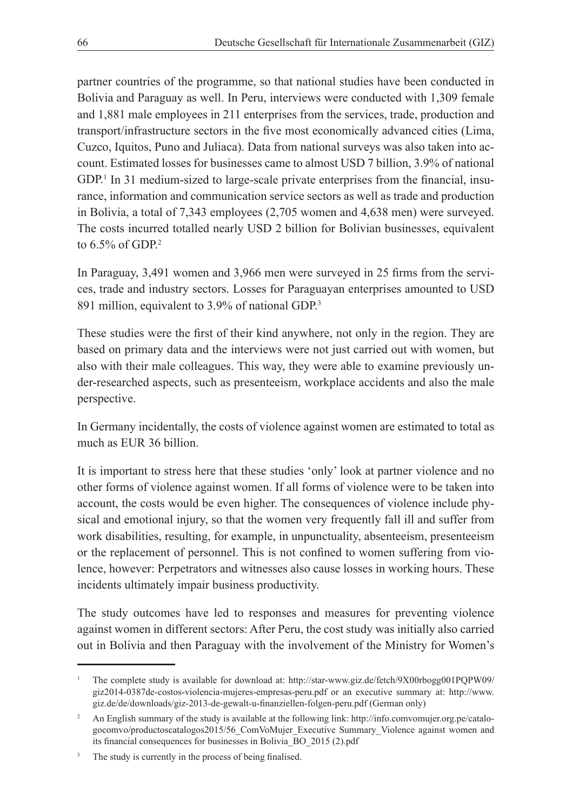partner countries of the programme, so that national studies have been conducted in Bolivia and Paraguay as well. In Peru, interviews were conducted with 1,309 female and 1,881 male employees in 211 enterprises from the services, trade, production and transport/infrastructure sectors in the five most economically advanced cities (Lima, Cuzco, Iquitos, Puno and Juliaca). Data from national surveys was also taken into account. Estimated losses for businesses came to almost USD 7 billion, 3.9% of national GDP.<sup>1</sup> In 31 medium-sized to large-scale private enterprises from the financial, insurance, information and communication service sectors as well as trade and production in Bolivia, a total of 7,343 employees (2,705 women and 4,638 men) were surveyed. The costs incurred totalled nearly USD 2 billion for Bolivian businesses, equivalent to  $6.5\%$  of GDP.<sup>2</sup>

In Paraguay, 3,491 women and 3,966 men were surveyed in 25 firms from the services, trade and industry sectors. Losses for Paraguayan enterprises amounted to USD 891 million, equivalent to 3.9% of national GDP.3

These studies were the first of their kind anywhere, not only in the region. They are based on primary data and the interviews were not just carried out with women, but also with their male colleagues. This way, they were able to examine previously under-researched aspects, such as presenteeism, workplace accidents and also the male perspective.

In Germany incidentally, the costs of violence against women are estimated to total as much as EUR 36 billion.

It is important to stress here that these studies 'only' look at partner violence and no other forms of violence against women. If all forms of violence were to be taken into account, the costs would be even higher. The consequences of violence include physical and emotional injury, so that the women very frequently fall ill and suffer from work disabilities, resulting, for example, in unpunctuality, absenteeism, presenteeism or the replacement of personnel. This is not confined to women suffering from violence, however: Perpetrators and witnesses also cause losses in working hours. These incidents ultimately impair business productivity.

The study outcomes have led to responses and measures for preventing violence against women in different sectors: After Peru, the cost study was initially also carried out in Bolivia and then Paraguay with the involvement of the Ministry for Women's

<sup>1</sup> The complete study is available for download at: http://star-www.giz.de/fetch/9X00rbogg001PQPW09/ giz2014-0387de-costos-violencia-mujeres-empresas-peru.pdf or an executive summary at: http://www. giz.de/de/downloads/giz-2013-de-gewalt-u-finanziellen-folgen-peru.pdf (German only)

<sup>&</sup>lt;sup>2</sup> An English summary of the study is available at the following link: http://info.comvomujer.org.pe/catalogocomvo/productoscatalogos2015/56\_ComVoMujer\_Executive Summary\_Violence against women and its financial consequences for businesses in Bolivia\_BO\_2015 (2).pdf

The study is currently in the process of being finalised.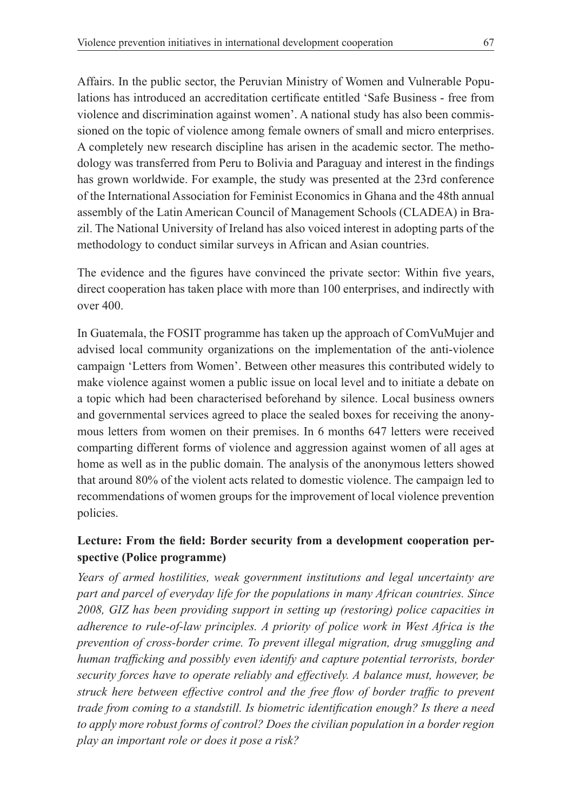Affairs. In the public sector, the Peruvian Ministry of Women and Vulnerable Populations has introduced an accreditation certificate entitled 'Safe Business - free from violence and discrimination against women'. A national study has also been commissioned on the topic of violence among female owners of small and micro enterprises. A completely new research discipline has arisen in the academic sector. The methodology was transferred from Peru to Bolivia and Paraguay and interest in the findings has grown worldwide. For example, the study was presented at the 23rd conference of the International Association for Feminist Economics in Ghana and the 48th annual assembly of the Latin American Council of Management Schools (CLADEA) in Brazil. The National University of Ireland has also voiced interest in adopting parts of the methodology to conduct similar surveys in African and Asian countries.

The evidence and the figures have convinced the private sector: Within five years, direct cooperation has taken place with more than 100 enterprises, and indirectly with over 400.

In Guatemala, the FOSIT programme has taken up the approach of ComVuMujer and advised local community organizations on the implementation of the anti-violence campaign 'Letters from Women'. Between other measures this contributed widely to make violence against women a public issue on local level and to initiate a debate on a topic which had been characterised beforehand by silence. Local business owners and governmental services agreed to place the sealed boxes for receiving the anonymous letters from women on their premises. In 6 months 647 letters were received comparting different forms of violence and aggression against women of all ages at home as well as in the public domain. The analysis of the anonymous letters showed that around 80% of the violent acts related to domestic violence. The campaign led to recommendations of women groups for the improvement of local violence prevention policies.

#### **Lecture: From the field: Border security from a development cooperation perspective (Police programme)**

*Years of armed hostilities, weak government institutions and legal uncertainty are part and parcel of everyday life for the populations in many African countries. Since 2008, GIZ has been providing support in setting up (restoring) police capacities in adherence to rule-of-law principles. A priority of police work in West Africa is the prevention of cross-border crime. To prevent illegal migration, drug smuggling and human trafficking and possibly even identify and capture potential terrorists, border security forces have to operate reliably and effectively. A balance must, however, be struck here between effective control and the free flow of border traffic to prevent trade from coming to a standstill. Is biometric identification enough? Is there a need to apply more robust forms of control? Does the civilian population in a border region play an important role or does it pose a risk?*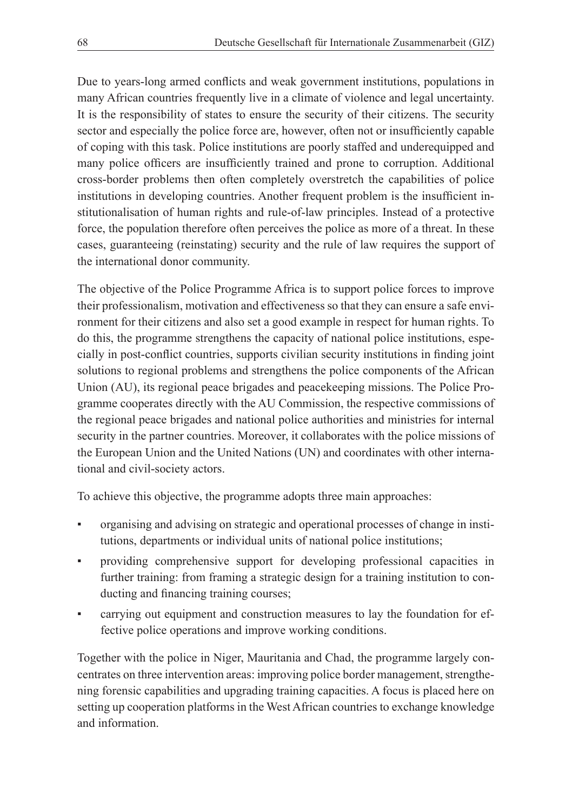Due to years-long armed conflicts and weak government institutions, populations in many African countries frequently live in a climate of violence and legal uncertainty. It is the responsibility of states to ensure the security of their citizens. The security sector and especially the police force are, however, often not or insufficiently capable of coping with this task. Police institutions are poorly staffed and underequipped and many police officers are insufficiently trained and prone to corruption. Additional cross-border problems then often completely overstretch the capabilities of police institutions in developing countries. Another frequent problem is the insufficient institutionalisation of human rights and rule-of-law principles. Instead of a protective force, the population therefore often perceives the police as more of a threat. In these cases, guaranteeing (reinstating) security and the rule of law requires the support of the international donor community.

The objective of the Police Programme Africa is to support police forces to improve their professionalism, motivation and effectiveness so that they can ensure a safe environment for their citizens and also set a good example in respect for human rights. To do this, the programme strengthens the capacity of national police institutions, especially in post-conflict countries, supports civilian security institutions in finding joint solutions to regional problems and strengthens the police components of the African Union (AU), its regional peace brigades and peacekeeping missions. The Police Programme cooperates directly with the AU Commission, the respective commissions of the regional peace brigades and national police authorities and ministries for internal security in the partner countries. Moreover, it collaborates with the police missions of the European Union and the United Nations (UN) and coordinates with other international and civil-society actors.

To achieve this objective, the programme adopts three main approaches:

- organising and advising on strategic and operational processes of change in institutions, departments or individual units of national police institutions;
- providing comprehensive support for developing professional capacities in further training: from framing a strategic design for a training institution to conducting and financing training courses;
- carrying out equipment and construction measures to lay the foundation for effective police operations and improve working conditions.

Together with the police in Niger, Mauritania and Chad, the programme largely concentrates on three intervention areas: improving police border management, strengthening forensic capabilities and upgrading training capacities. A focus is placed here on setting up cooperation platforms in the West African countries to exchange knowledge and information.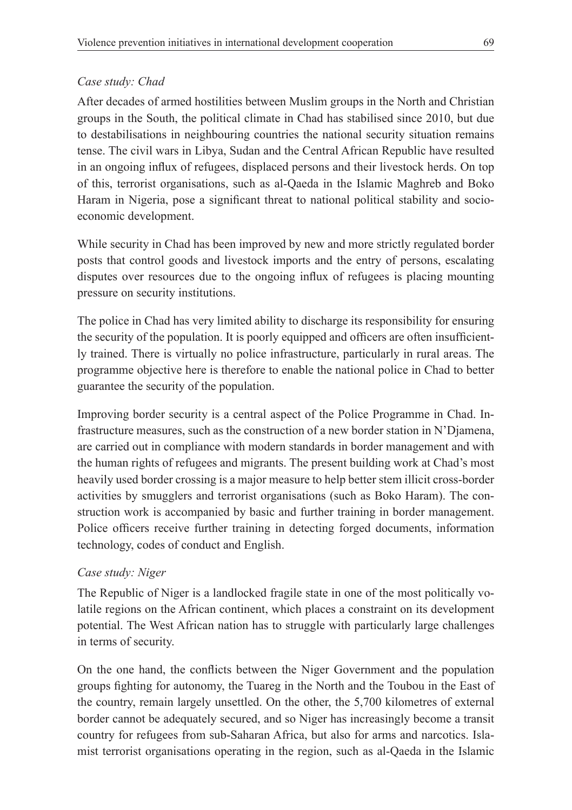# *Case study: Chad*

After decades of armed hostilities between Muslim groups in the North and Christian groups in the South, the political climate in Chad has stabilised since 2010, but due to destabilisations in neighbouring countries the national security situation remains tense. The civil wars in Libya, Sudan and the Central African Republic have resulted in an ongoing influx of refugees, displaced persons and their livestock herds. On top of this, terrorist organisations, such as al-Qaeda in the Islamic Maghreb and Boko Haram in Nigeria, pose a significant threat to national political stability and socioeconomic development.

While security in Chad has been improved by new and more strictly regulated border posts that control goods and livestock imports and the entry of persons, escalating disputes over resources due to the ongoing influx of refugees is placing mounting pressure on security institutions.

The police in Chad has very limited ability to discharge its responsibility for ensuring the security of the population. It is poorly equipped and officers are often insufficiently trained. There is virtually no police infrastructure, particularly in rural areas. The programme objective here is therefore to enable the national police in Chad to better guarantee the security of the population.

Improving border security is a central aspect of the Police Programme in Chad. Infrastructure measures, such as the construction of a new border station in N'Djamena, are carried out in compliance with modern standards in border management and with the human rights of refugees and migrants. The present building work at Chad's most heavily used border crossing is a major measure to help better stem illicit cross-border activities by smugglers and terrorist organisations (such as Boko Haram). The construction work is accompanied by basic and further training in border management. Police officers receive further training in detecting forged documents, information technology, codes of conduct and English.

# *Case study: Niger*

The Republic of Niger is a landlocked fragile state in one of the most politically volatile regions on the African continent, which places a constraint on its development potential. The West African nation has to struggle with particularly large challenges in terms of security.

On the one hand, the conflicts between the Niger Government and the population groups fighting for autonomy, the Tuareg in the North and the Toubou in the East of the country, remain largely unsettled. On the other, the 5,700 kilometres of external border cannot be adequately secured, and so Niger has increasingly become a transit country for refugees from sub-Saharan Africa, but also for arms and narcotics. Islamist terrorist organisations operating in the region, such as al-Qaeda in the Islamic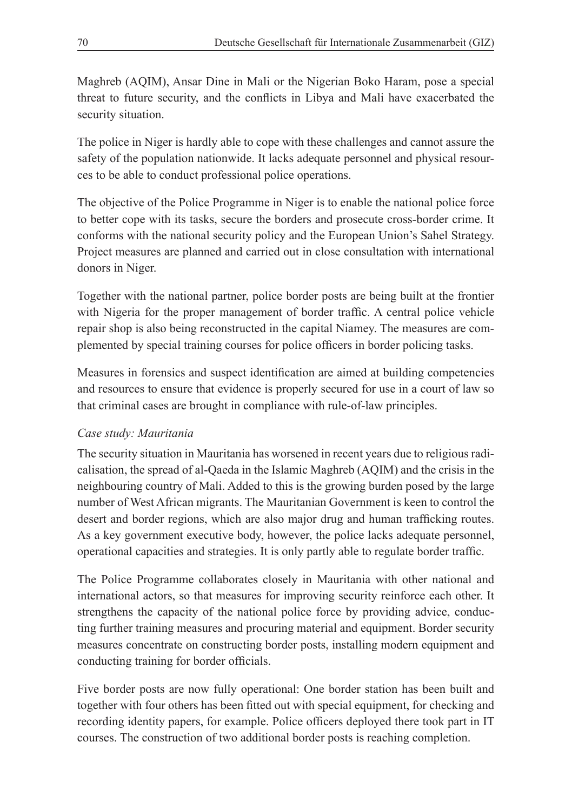Maghreb (AQIM), Ansar Dine in Mali or the Nigerian Boko Haram, pose a special threat to future security, and the conflicts in Libya and Mali have exacerbated the security situation.

The police in Niger is hardly able to cope with these challenges and cannot assure the safety of the population nationwide. It lacks adequate personnel and physical resources to be able to conduct professional police operations.

The objective of the Police Programme in Niger is to enable the national police force to better cope with its tasks, secure the borders and prosecute cross-border crime. It conforms with the national security policy and the European Union's Sahel Strategy. Project measures are planned and carried out in close consultation with international donors in Niger.

Together with the national partner, police border posts are being built at the frontier with Nigeria for the proper management of border traffic. A central police vehicle repair shop is also being reconstructed in the capital Niamey. The measures are complemented by special training courses for police officers in border policing tasks.

Measures in forensics and suspect identification are aimed at building competencies and resources to ensure that evidence is properly secured for use in a court of law so that criminal cases are brought in compliance with rule-of-law principles.

## *Case study: Mauritania*

The security situation in Mauritania has worsened in recent years due to religious radicalisation, the spread of al-Qaeda in the Islamic Maghreb (AQIM) and the crisis in the neighbouring country of Mali. Added to this is the growing burden posed by the large number of West African migrants. The Mauritanian Government is keen to control the desert and border regions, which are also major drug and human trafficking routes. As a key government executive body, however, the police lacks adequate personnel, operational capacities and strategies. It is only partly able to regulate border traffic.

The Police Programme collaborates closely in Mauritania with other national and international actors, so that measures for improving security reinforce each other. It strengthens the capacity of the national police force by providing advice, conducting further training measures and procuring material and equipment. Border security measures concentrate on constructing border posts, installing modern equipment and conducting training for border officials.

Five border posts are now fully operational: One border station has been built and together with four others has been fitted out with special equipment, for checking and recording identity papers, for example. Police officers deployed there took part in IT courses. The construction of two additional border posts is reaching completion.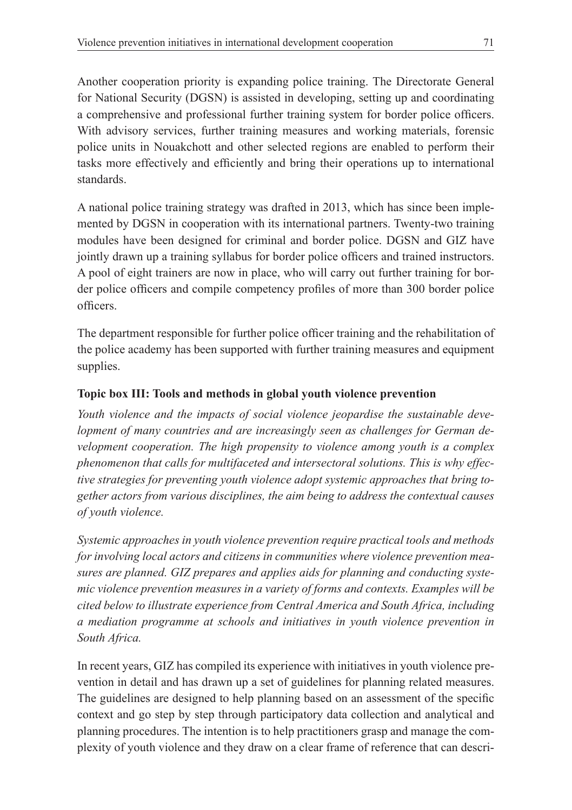Another cooperation priority is expanding police training. The Directorate General for National Security (DGSN) is assisted in developing, setting up and coordinating a comprehensive and professional further training system for border police officers. With advisory services, further training measures and working materials, forensic police units in Nouakchott and other selected regions are enabled to perform their tasks more effectively and efficiently and bring their operations up to international standards.

A national police training strategy was drafted in 2013, which has since been implemented by DGSN in cooperation with its international partners. Twenty-two training modules have been designed for criminal and border police. DGSN and GIZ have jointly drawn up a training syllabus for border police officers and trained instructors. A pool of eight trainers are now in place, who will carry out further training for border police officers and compile competency profiles of more than 300 border police officers.

The department responsible for further police officer training and the rehabilitation of the police academy has been supported with further training measures and equipment supplies.

## **Topic box III: Tools and methods in global youth violence prevention**

*Youth violence and the impacts of social violence jeopardise the sustainable development of many countries and are increasingly seen as challenges for German development cooperation. The high propensity to violence among youth is a complex phenomenon that calls for multifaceted and intersectoral solutions. This is why effective strategies for preventing youth violence adopt systemic approaches that bring together actors from various disciplines, the aim being to address the contextual causes of youth violence.* 

*Systemic approaches in youth violence prevention require practical tools and methods for involving local actors and citizens in communities where violence prevention measures are planned. GIZ prepares and applies aids for planning and conducting systemic violence prevention measures in a variety of forms and contexts. Examples will be cited below to illustrate experience from Central America and South Africa, including a mediation programme at schools and initiatives in youth violence prevention in South Africa.* 

In recent years, GIZ has compiled its experience with initiatives in youth violence prevention in detail and has drawn up a set of guidelines for planning related measures. The guidelines are designed to help planning based on an assessment of the specific context and go step by step through participatory data collection and analytical and planning procedures. The intention is to help practitioners grasp and manage the complexity of youth violence and they draw on a clear frame of reference that can descri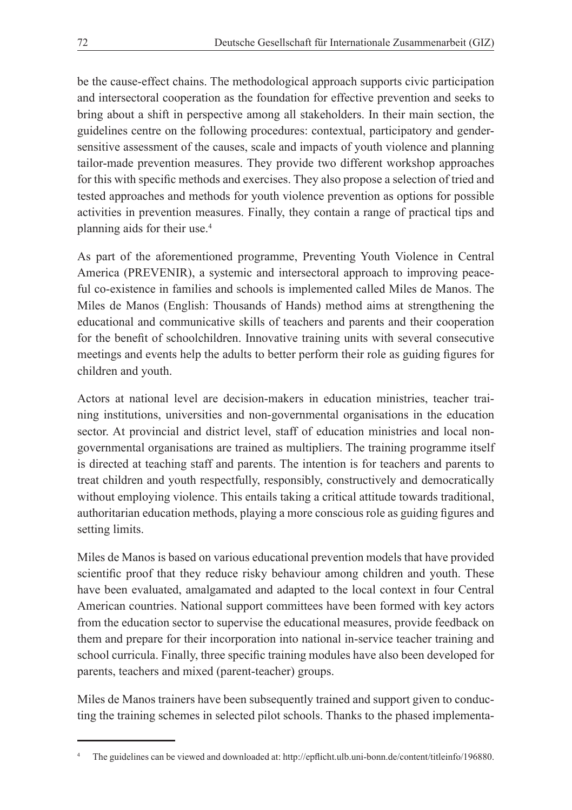be the cause-effect chains. The methodological approach supports civic participation and intersectoral cooperation as the foundation for effective prevention and seeks to bring about a shift in perspective among all stakeholders. In their main section, the guidelines centre on the following procedures: contextual, participatory and gendersensitive assessment of the causes, scale and impacts of youth violence and planning tailor-made prevention measures. They provide two different workshop approaches for this with specific methods and exercises. They also propose a selection of tried and tested approaches and methods for youth violence prevention as options for possible activities in prevention measures. Finally, they contain a range of practical tips and planning aids for their use.4

As part of the aforementioned programme, Preventing Youth Violence in Central America (PREVENIR), a systemic and intersectoral approach to improving peaceful co-existence in families and schools is implemented called Miles de Manos. The Miles de Manos (English: Thousands of Hands) method aims at strengthening the educational and communicative skills of teachers and parents and their cooperation for the benefit of schoolchildren. Innovative training units with several consecutive meetings and events help the adults to better perform their role as guiding figures for children and youth.

Actors at national level are decision-makers in education ministries, teacher training institutions, universities and non-governmental organisations in the education sector. At provincial and district level, staff of education ministries and local nongovernmental organisations are trained as multipliers. The training programme itself is directed at teaching staff and parents. The intention is for teachers and parents to treat children and youth respectfully, responsibly, constructively and democratically without employing violence. This entails taking a critical attitude towards traditional, authoritarian education methods, playing a more conscious role as guiding figures and setting limits.

Miles de Manos is based on various educational prevention models that have provided scientific proof that they reduce risky behaviour among children and youth. These have been evaluated, amalgamated and adapted to the local context in four Central American countries. National support committees have been formed with key actors from the education sector to supervise the educational measures, provide feedback on them and prepare for their incorporation into national in-service teacher training and school curricula. Finally, three specific training modules have also been developed for parents, teachers and mixed (parent-teacher) groups.

Miles de Manos trainers have been subsequently trained and support given to conducting the training schemes in selected pilot schools. Thanks to the phased implementa-

<sup>4</sup> The guidelines can be viewed and downloaded at: http://epflicht.ulb.uni-bonn.de/content/titleinfo/196880.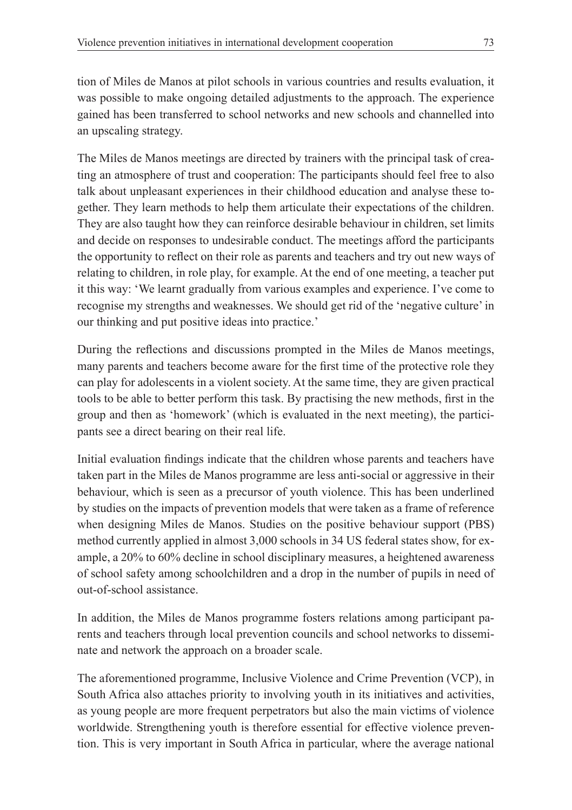tion of Miles de Manos at pilot schools in various countries and results evaluation, it was possible to make ongoing detailed adjustments to the approach. The experience gained has been transferred to school networks and new schools and channelled into an upscaling strategy.

The Miles de Manos meetings are directed by trainers with the principal task of creating an atmosphere of trust and cooperation: The participants should feel free to also talk about unpleasant experiences in their childhood education and analyse these together. They learn methods to help them articulate their expectations of the children. They are also taught how they can reinforce desirable behaviour in children, set limits and decide on responses to undesirable conduct. The meetings afford the participants the opportunity to reflect on their role as parents and teachers and try out new ways of relating to children, in role play, for example. At the end of one meeting, a teacher put it this way: 'We learnt gradually from various examples and experience. I've come to recognise my strengths and weaknesses. We should get rid of the 'negative culture' in our thinking and put positive ideas into practice.'

During the reflections and discussions prompted in the Miles de Manos meetings, many parents and teachers become aware for the first time of the protective role they can play for adolescents in a violent society. At the same time, they are given practical tools to be able to better perform this task. By practising the new methods, first in the group and then as 'homework' (which is evaluated in the next meeting), the participants see a direct bearing on their real life.

Initial evaluation findings indicate that the children whose parents and teachers have taken part in the Miles de Manos programme are less anti-social or aggressive in their behaviour, which is seen as a precursor of youth violence. This has been underlined by studies on the impacts of prevention models that were taken as a frame of reference when designing Miles de Manos. Studies on the positive behaviour support (PBS) method currently applied in almost 3,000 schools in 34 US federal states show, for example, a 20% to 60% decline in school disciplinary measures, a heightened awareness of school safety among schoolchildren and a drop in the number of pupils in need of out-of-school assistance.

In addition, the Miles de Manos programme fosters relations among participant parents and teachers through local prevention councils and school networks to disseminate and network the approach on a broader scale.

The aforementioned programme, Inclusive Violence and Crime Prevention (VCP), in South Africa also attaches priority to involving youth in its initiatives and activities, as young people are more frequent perpetrators but also the main victims of violence worldwide. Strengthening youth is therefore essential for effective violence prevention. This is very important in South Africa in particular, where the average national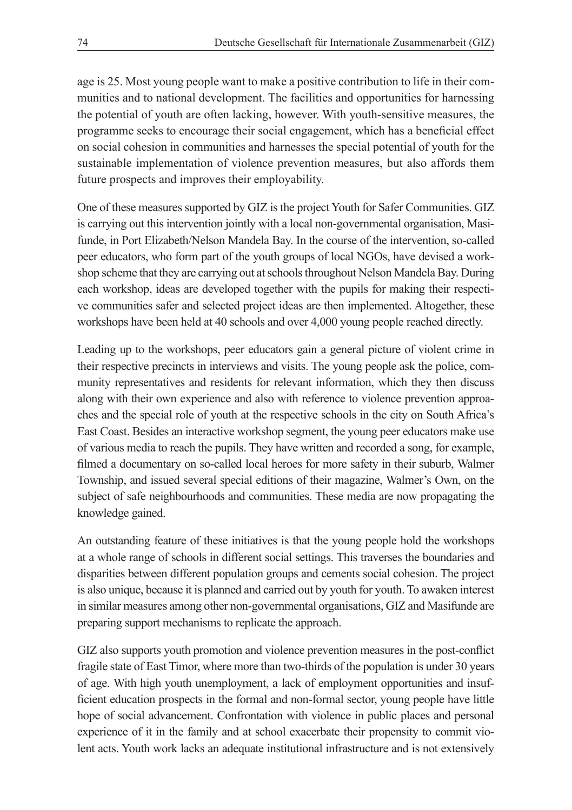age is 25. Most young people want to make a positive contribution to life in their communities and to national development. The facilities and opportunities for harnessing the potential of youth are often lacking, however. With youth-sensitive measures, the programme seeks to encourage their social engagement, which has a beneficial effect on social cohesion in communities and harnesses the special potential of youth for the sustainable implementation of violence prevention measures, but also affords them future prospects and improves their employability.

One of these measures supported by GIZ is the project Youth for Safer Communities. GIZ is carrying out this intervention jointly with a local non-governmental organisation, Masifunde, in Port Elizabeth/Nelson Mandela Bay. In the course of the intervention, so-called peer educators, who form part of the youth groups of local NGOs, have devised a workshop scheme that they are carrying out at schools throughout Nelson Mandela Bay. During each workshop, ideas are developed together with the pupils for making their respective communities safer and selected project ideas are then implemented. Altogether, these workshops have been held at 40 schools and over 4,000 young people reached directly.

Leading up to the workshops, peer educators gain a general picture of violent crime in their respective precincts in interviews and visits. The young people ask the police, community representatives and residents for relevant information, which they then discuss along with their own experience and also with reference to violence prevention approaches and the special role of youth at the respective schools in the city on South Africa's East Coast. Besides an interactive workshop segment, the young peer educators make use of various media to reach the pupils. They have written and recorded a song, for example, filmed a documentary on so-called local heroes for more safety in their suburb, Walmer Township, and issued several special editions of their magazine, Walmer's Own, on the subject of safe neighbourhoods and communities. These media are now propagating the knowledge gained.

An outstanding feature of these initiatives is that the young people hold the workshops at a whole range of schools in different social settings. This traverses the boundaries and disparities between different population groups and cements social cohesion. The project is also unique, because it is planned and carried out by youth for youth. To awaken interest in similar measures among other non-governmental organisations, GIZ and Masifunde are preparing support mechanisms to replicate the approach.

GIZ also supports youth promotion and violence prevention measures in the post-conflict fragile state of East Timor, where more than two-thirds of the population is under 30 years of age. With high youth unemployment, a lack of employment opportunities and insufficient education prospects in the formal and non-formal sector, young people have little hope of social advancement. Confrontation with violence in public places and personal experience of it in the family and at school exacerbate their propensity to commit violent acts. Youth work lacks an adequate institutional infrastructure and is not extensively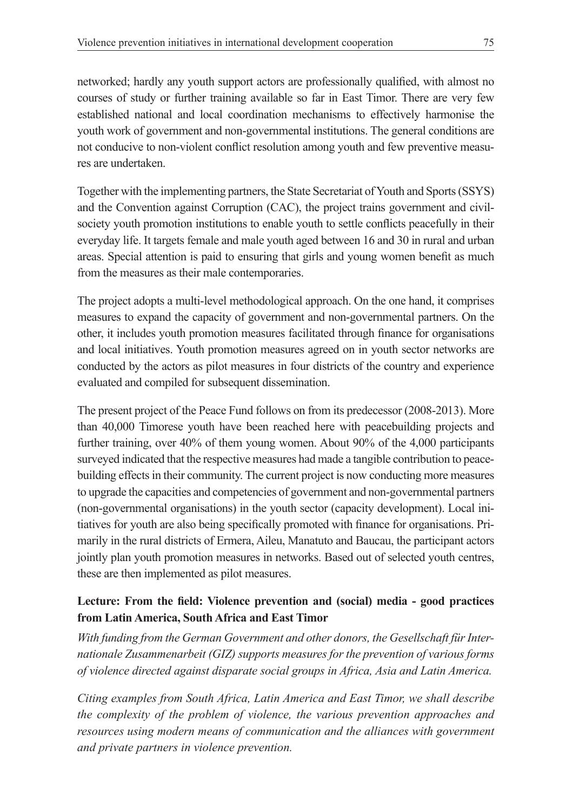networked; hardly any youth support actors are professionally qualified, with almost no courses of study or further training available so far in East Timor. There are very few established national and local coordination mechanisms to effectively harmonise the youth work of government and non-governmental institutions. The general conditions are not conducive to non-violent conflict resolution among youth and few preventive measures are undertaken.

Together with the implementing partners, the State Secretariat of Youth and Sports (SSYS) and the Convention against Corruption (CAC), the project trains government and civilsociety youth promotion institutions to enable youth to settle conflicts peacefully in their everyday life. It targets female and male youth aged between 16 and 30 in rural and urban areas. Special attention is paid to ensuring that girls and young women benefit as much from the measures as their male contemporaries.

The project adopts a multi-level methodological approach. On the one hand, it comprises measures to expand the capacity of government and non-governmental partners. On the other, it includes youth promotion measures facilitated through finance for organisations and local initiatives. Youth promotion measures agreed on in youth sector networks are conducted by the actors as pilot measures in four districts of the country and experience evaluated and compiled for subsequent dissemination.

The present project of the Peace Fund follows on from its predecessor (2008-2013). More than 40,000 Timorese youth have been reached here with peacebuilding projects and further training, over 40% of them young women. About 90% of the 4,000 participants surveyed indicated that the respective measures had made a tangible contribution to peacebuilding effects in their community. The current project is now conducting more measures to upgrade the capacities and competencies of government and non-governmental partners (non-governmental organisations) in the youth sector (capacity development). Local initiatives for youth are also being specifically promoted with finance for organisations. Primarily in the rural districts of Ermera, Aileu, Manatuto and Baucau, the participant actors jointly plan youth promotion measures in networks. Based out of selected youth centres, these are then implemented as pilot measures.

# **Lecture: From the field: Violence prevention and (social) media - good practices from Latin America, South Africa and East Timor**

*With funding from the German Government and other donors, the Gesellschaft für Internationale Zusammenarbeit (GIZ) supports measures for the prevention of various forms of violence directed against disparate social groups in Africa, Asia and Latin America.* 

*Citing examples from South Africa, Latin America and East Timor, we shall describe the complexity of the problem of violence, the various prevention approaches and resources using modern means of communication and the alliances with government and private partners in violence prevention.*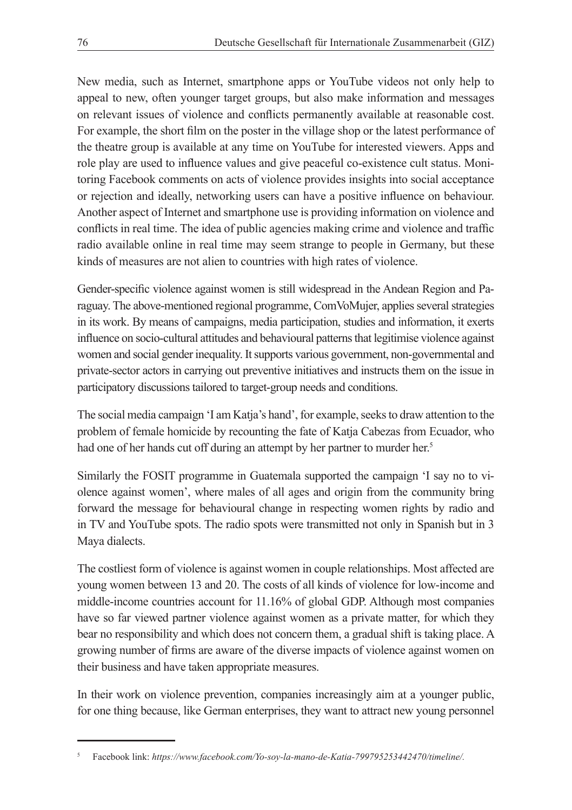New media, such as Internet, smartphone apps or YouTube videos not only help to appeal to new, often younger target groups, but also make information and messages on relevant issues of violence and conflicts permanently available at reasonable cost. For example, the short film on the poster in the village shop or the latest performance of the theatre group is available at any time on YouTube for interested viewers. Apps and role play are used to influence values and give peaceful co-existence cult status. Monitoring Facebook comments on acts of violence provides insights into social acceptance or rejection and ideally, networking users can have a positive influence on behaviour. Another aspect of Internet and smartphone use is providing information on violence and conflicts in real time. The idea of public agencies making crime and violence and traffic radio available online in real time may seem strange to people in Germany, but these kinds of measures are not alien to countries with high rates of violence.

Gender-specific violence against women is still widespread in the Andean Region and Paraguay. The above-mentioned regional programme, ComVoMujer, applies several strategies in its work. By means of campaigns, media participation, studies and information, it exerts influence on socio-cultural attitudes and behavioural patterns that legitimise violence against women and social gender inequality. It supports various government, non-governmental and private-sector actors in carrying out preventive initiatives and instructs them on the issue in participatory discussions tailored to target-group needs and conditions.

The social media campaign 'I am Katja's hand', for example, seeks to draw attention to the problem of female homicide by recounting the fate of Katja Cabezas from Ecuador, who had one of her hands cut off during an attempt by her partner to murder her.<sup>5</sup>

Similarly the FOSIT programme in Guatemala supported the campaign 'I say no to violence against women', where males of all ages and origin from the community bring forward the message for behavioural change in respecting women rights by radio and in TV and YouTube spots. The radio spots were transmitted not only in Spanish but in 3 Maya dialects.

The costliest form of violence is against women in couple relationships. Most affected are young women between 13 and 20. The costs of all kinds of violence for low-income and middle-income countries account for 11.16% of global GDP. Although most companies have so far viewed partner violence against women as a private matter, for which they bear no responsibility and which does not concern them, a gradual shift is taking place. A growing number of firms are aware of the diverse impacts of violence against women on their business and have taken appropriate measures.

In their work on violence prevention, companies increasingly aim at a younger public, for one thing because, like German enterprises, they want to attract new young personnel

<sup>5</sup> Facebook link: *https://www.facebook.com/Yo-soy-la-mano-de-Katia-799795253442470/timeline/.*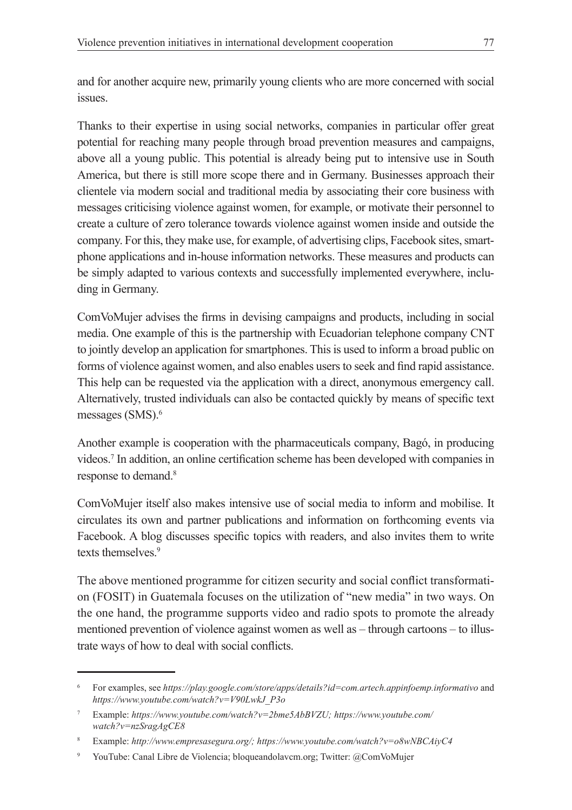and for another acquire new, primarily young clients who are more concerned with social issues.

Thanks to their expertise in using social networks, companies in particular offer great potential for reaching many people through broad prevention measures and campaigns, above all a young public. This potential is already being put to intensive use in South America, but there is still more scope there and in Germany. Businesses approach their clientele via modern social and traditional media by associating their core business with messages criticising violence against women, for example, or motivate their personnel to create a culture of zero tolerance towards violence against women inside and outside the company. For this, they make use, for example, of advertising clips, Facebook sites, smartphone applications and in-house information networks. These measures and products can be simply adapted to various contexts and successfully implemented everywhere, including in Germany.

ComVoMujer advises the firms in devising campaigns and products, including in social media. One example of this is the partnership with Ecuadorian telephone company CNT to jointly develop an application for smartphones. This is used to inform a broad public on forms of violence against women, and also enables users to seek and find rapid assistance. This help can be requested via the application with a direct, anonymous emergency call. Alternatively, trusted individuals can also be contacted quickly by means of specific text messages (SMS).<sup>6</sup>

Another example is cooperation with the pharmaceuticals company, Bagó, in producing videos.7 In addition, an online certification scheme has been developed with companies in response to demand.8

ComVoMujer itself also makes intensive use of social media to inform and mobilise. It circulates its own and partner publications and information on forthcoming events via Facebook. A blog discusses specific topics with readers, and also invites them to write texts themselves.<sup>9</sup>

The above mentioned programme for citizen security and social conflict transformation (FOSIT) in Guatemala focuses on the utilization of "new media" in two ways. On the one hand, the programme supports video and radio spots to promote the already mentioned prevention of violence against women as well as – through cartoons – to illustrate ways of how to deal with social conflicts.

<sup>6</sup> For examples, see *https://play.google.com/store/apps/details?id=com.artech.appinfoemp.informativo* and *https://www.youtube.com/watch?v=V90LwkJ\_P3o*

<sup>7</sup> Example: *https://www.youtube.com/watch?v=2bme5AbBVZU; https://www.youtube.com/ watch?v=nzSragAgCE8*

<sup>8</sup> Example: *http://www.empresasegura.org/; https://www.youtube.com/watch?v=o8wNBCAiyC4*

<sup>9</sup> YouTube: Canal Libre de Violencia; bloqueandolavcm.org; Twitter: @ComVoMujer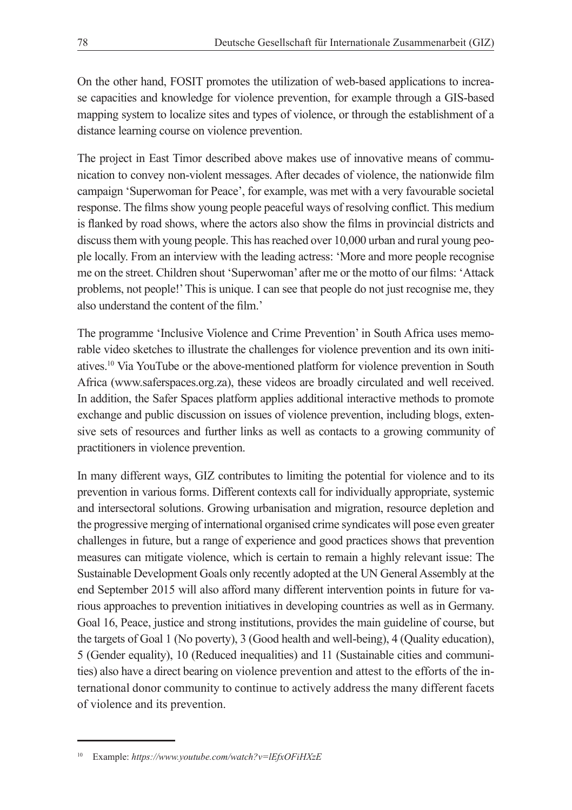On the other hand, FOSIT promotes the utilization of web-based applications to increase capacities and knowledge for violence prevention, for example through a GIS-based mapping system to localize sites and types of violence, or through the establishment of a distance learning course on violence prevention.

The project in East Timor described above makes use of innovative means of communication to convey non-violent messages. After decades of violence, the nationwide film campaign 'Superwoman for Peace', for example, was met with a very favourable societal response. The films show young people peaceful ways of resolving conflict. This medium is flanked by road shows, where the actors also show the films in provincial districts and discuss them with young people. This has reached over 10,000 urban and rural young people locally. From an interview with the leading actress: 'More and more people recognise me on the street. Children shout 'Superwoman' after me or the motto of our films: 'Attack problems, not people!' This is unique. I can see that people do not just recognise me, they also understand the content of the film.'

The programme 'Inclusive Violence and Crime Prevention' in South Africa uses memorable video sketches to illustrate the challenges for violence prevention and its own initiatives.10 Via YouTube or the above-mentioned platform for violence prevention in South Africa (www.saferspaces.org.za), these videos are broadly circulated and well received. In addition, the Safer Spaces platform applies additional interactive methods to promote exchange and public discussion on issues of violence prevention, including blogs, extensive sets of resources and further links as well as contacts to a growing community of practitioners in violence prevention.

In many different ways, GIZ contributes to limiting the potential for violence and to its prevention in various forms. Different contexts call for individually appropriate, systemic and intersectoral solutions. Growing urbanisation and migration, resource depletion and the progressive merging of international organised crime syndicates will pose even greater challenges in future, but a range of experience and good practices shows that prevention measures can mitigate violence, which is certain to remain a highly relevant issue: The Sustainable Development Goals only recently adopted at the UN General Assembly at the end September 2015 will also afford many different intervention points in future for various approaches to prevention initiatives in developing countries as well as in Germany. Goal 16, Peace, justice and strong institutions, provides the main guideline of course, but the targets of Goal 1 (No poverty), 3 (Good health and well-being), 4 (Quality education), 5 (Gender equality), 10 (Reduced inequalities) and 11 (Sustainable cities and communities) also have a direct bearing on violence prevention and attest to the efforts of the international donor community to continue to actively address the many different facets of violence and its prevention.

<sup>10</sup> Example: *https://www.youtube.com/watch?v=lEfxOFiHXzE*